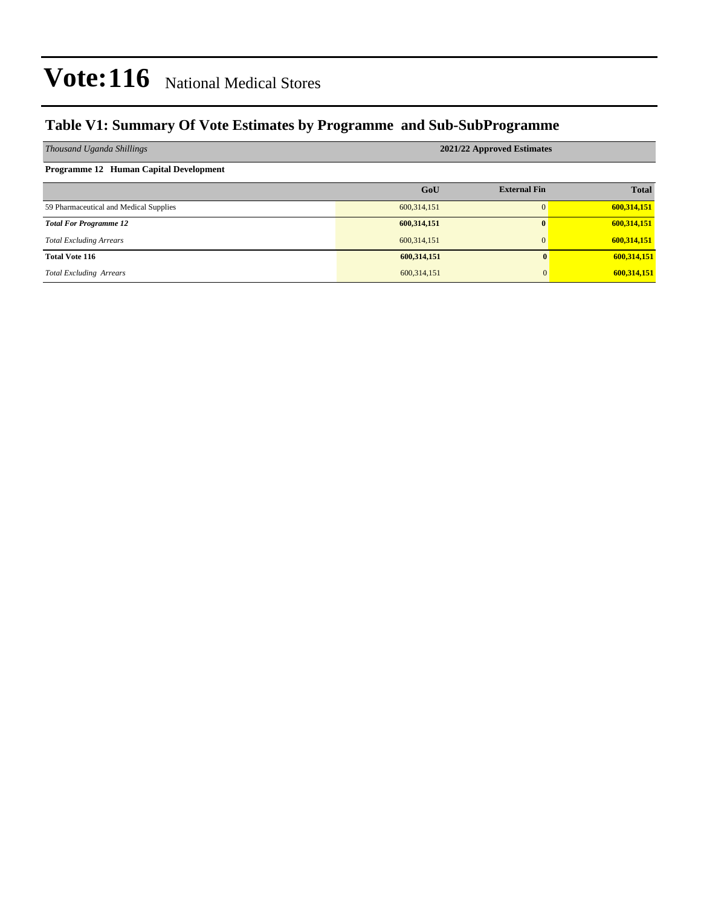### **Table V1: Summary Of Vote Estimates by Programme and Sub-SubProgramme**

| Thousand Uganda Shillings              | 2021/22 Approved Estimates |                     |              |  |  |  |  |  |
|----------------------------------------|----------------------------|---------------------|--------------|--|--|--|--|--|
| Programme 12 Human Capital Development |                            |                     |              |  |  |  |  |  |
|                                        | GoU                        | <b>External Fin</b> | <b>Total</b> |  |  |  |  |  |
| 59 Pharmaceutical and Medical Supplies | 600,314,151                |                     | 600,314,151  |  |  |  |  |  |
| <b>Total For Programme 12</b>          | 600,314,151                | $\mathbf{0}$        | 600,314,151  |  |  |  |  |  |
| <b>Total Excluding Arrears</b>         | 600,314,151                | $\Omega$            | 600,314,151  |  |  |  |  |  |
| <b>Total Vote 116</b>                  | 600,314,151                | $\mathbf{0}$        | 600,314,151  |  |  |  |  |  |
| <b>Total Excluding Arrears</b>         | 600,314,151                | 0                   | 600,314,151  |  |  |  |  |  |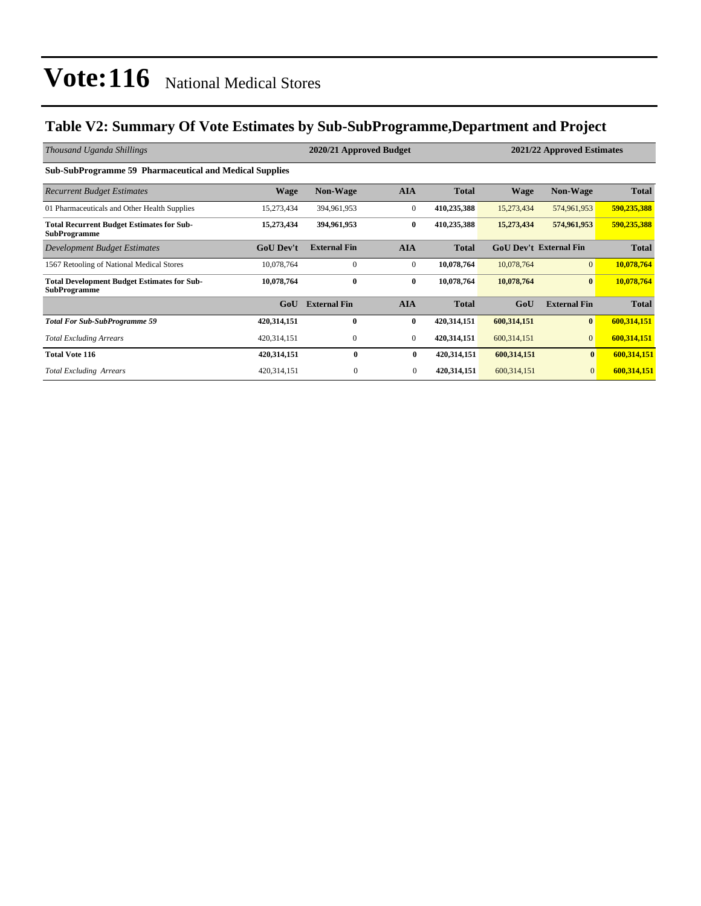### **Table V2: Summary Of Vote Estimates by Sub-SubProgramme,Department and Project**

| Thousand Uganda Shillings                                                 |                  | 2021/22 Approved Estimates |              |              |                               |                     |              |
|---------------------------------------------------------------------------|------------------|----------------------------|--------------|--------------|-------------------------------|---------------------|--------------|
| <b>Sub-SubProgramme 59 Pharmaceutical and Medical Supplies</b>            |                  |                            |              |              |                               |                     |              |
| <b>Recurrent Budget Estimates</b>                                         | <b>Wage</b>      | <b>Non-Wage</b>            | <b>AIA</b>   | <b>Total</b> | <b>Wage</b>                   | <b>Non-Wage</b>     | <b>Total</b> |
| 01 Pharmaceuticals and Other Health Supplies                              | 15,273,434       | 394,961,953                | $\mathbf{0}$ | 410,235,388  | 15,273,434                    | 574,961,953         | 590,235,388  |
| <b>Total Recurrent Budget Estimates for Sub-</b><br><b>SubProgramme</b>   | 15,273,434       | 394,961,953                | $\bf{0}$     | 410,235,388  | 15,273,434                    | 574,961,953         | 590,235,388  |
| Development Budget Estimates                                              | <b>GoU</b> Dev't | <b>External Fin</b>        | <b>AIA</b>   | <b>Total</b> | <b>GoU Dev't External Fin</b> |                     | <b>Total</b> |
| 1567 Retooling of National Medical Stores                                 | 10,078,764       | $\Omega$                   | $\mathbf{0}$ | 10,078,764   | 10,078,764                    | $\overline{0}$      | 10,078,764   |
| <b>Total Development Budget Estimates for Sub-</b><br><b>SubProgramme</b> | 10,078,764       | $\bf{0}$                   | $\bf{0}$     | 10,078,764   | 10,078,764                    | $\mathbf{0}$        | 10,078,764   |
|                                                                           | GoU              | <b>External Fin</b>        | <b>AIA</b>   | <b>Total</b> | GoU                           | <b>External Fin</b> | <b>Total</b> |
| <b>Total For Sub-SubProgramme 59</b>                                      | 420,314,151      | $\mathbf{0}$               | $\bf{0}$     | 420,314,151  | 600,314,151                   | $\mathbf{0}$        | 600,314,151  |
| <b>Total Excluding Arrears</b>                                            | 420,314,151      | $\mathbf{0}$               | $\mathbf{0}$ | 420,314,151  | 600,314,151                   | $\overline{0}$      | 600,314,151  |
| <b>Total Vote 116</b>                                                     | 420,314,151      | $\mathbf{0}$               | $\bf{0}$     | 420,314,151  | 600,314,151                   | $\mathbf{0}$        | 600,314,151  |
| <b>Total Excluding Arrears</b>                                            | 420, 314, 151    | $\boldsymbol{0}$           | $\mathbf{0}$ | 420,314,151  | 600, 314, 151                 | $\mathbf{0}$        | 600,314,151  |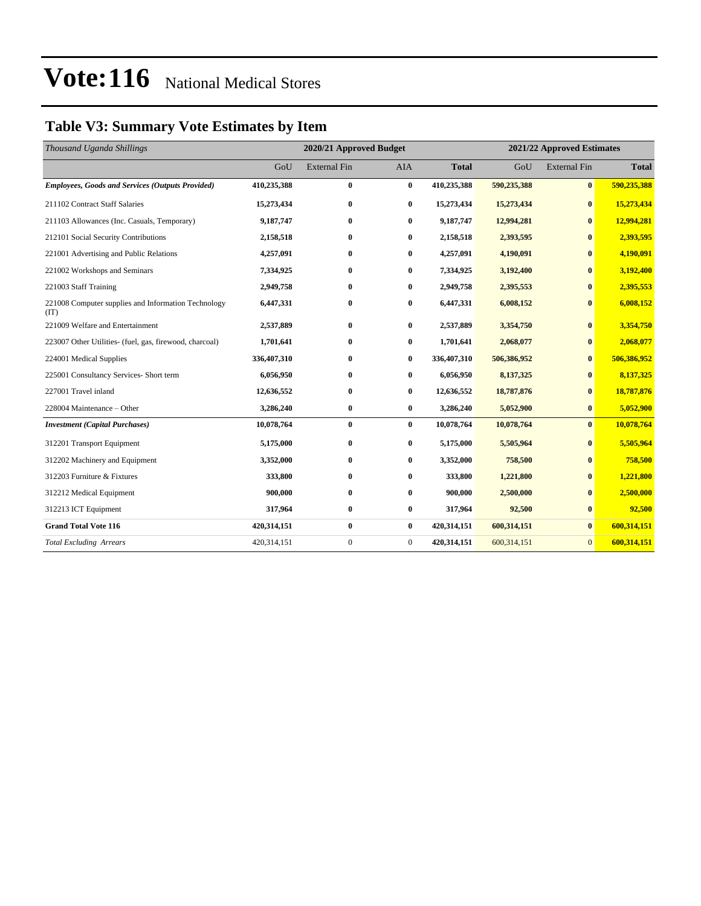### **Table V3: Summary Vote Estimates by Item**

| Thousand Uganda Shillings                                   |             | 2020/21 Approved Budget |                | 2021/22 Approved Estimates |             |                     |              |
|-------------------------------------------------------------|-------------|-------------------------|----------------|----------------------------|-------------|---------------------|--------------|
|                                                             | GoU         | <b>External Fin</b>     | <b>AIA</b>     | <b>Total</b>               | GoU         | <b>External Fin</b> | <b>Total</b> |
| <b>Employees, Goods and Services (Outputs Provided)</b>     | 410,235,388 | $\bf{0}$                | $\bf{0}$       | 410,235,388                | 590,235,388 | $\mathbf{0}$        | 590,235,388  |
| 211102 Contract Staff Salaries                              | 15,273,434  | $\bf{0}$                | $\bf{0}$       | 15,273,434                 | 15,273,434  | $\bf{0}$            | 15,273,434   |
| 211103 Allowances (Inc. Casuals, Temporary)                 | 9,187,747   | $\bf{0}$                | $\bf{0}$       | 9,187,747                  | 12,994,281  | $\bf{0}$            | 12,994,281   |
| 212101 Social Security Contributions                        | 2,158,518   | $\bf{0}$                | $\bf{0}$       | 2,158,518                  | 2,393,595   | $\bf{0}$            | 2,393,595    |
| 221001 Advertising and Public Relations                     | 4,257,091   | $\bf{0}$                | $\bf{0}$       | 4,257,091                  | 4,190,091   | $\bf{0}$            | 4,190,091    |
| 221002 Workshops and Seminars                               | 7,334,925   | $\bf{0}$                | $\bf{0}$       | 7,334,925                  | 3,192,400   | $\bf{0}$            | 3,192,400    |
| 221003 Staff Training                                       | 2,949,758   | $\bf{0}$                | 0              | 2,949,758                  | 2,395,553   | $\bf{0}$            | 2,395,553    |
| 221008 Computer supplies and Information Technology<br>(TT) | 6,447,331   | $\bf{0}$                | 0              | 6,447,331                  | 6,008,152   | $\bf{0}$            | 6,008,152    |
| 221009 Welfare and Entertainment                            | 2,537,889   | $\bf{0}$                | $\bf{0}$       | 2,537,889                  | 3,354,750   | $\bf{0}$            | 3,354,750    |
| 223007 Other Utilities- (fuel, gas, firewood, charcoal)     | 1,701,641   | $\bf{0}$                | $\bf{0}$       | 1,701,641                  | 2,068,077   | $\bf{0}$            | 2,068,077    |
| 224001 Medical Supplies                                     | 336,407,310 | $\bf{0}$                | $\bf{0}$       | 336,407,310                | 506,386,952 | $\bf{0}$            | 506,386,952  |
| 225001 Consultancy Services- Short term                     | 6,056,950   | $\bf{0}$                | $\bf{0}$       | 6,056,950                  | 8,137,325   | $\bf{0}$            | 8,137,325    |
| 227001 Travel inland                                        | 12,636,552  | $\bf{0}$                | 0              | 12,636,552                 | 18,787,876  | $\bf{0}$            | 18,787,876   |
| 228004 Maintenance – Other                                  | 3,286,240   | $\bf{0}$                | $\bf{0}$       | 3,286,240                  | 5,052,900   | $\bf{0}$            | 5,052,900    |
| <b>Investment</b> (Capital Purchases)                       | 10,078,764  | $\bf{0}$                | $\bf{0}$       | 10,078,764                 | 10,078,764  | $\bf{0}$            | 10,078,764   |
| 312201 Transport Equipment                                  | 5,175,000   | $\bf{0}$                | $\bf{0}$       | 5,175,000                  | 5,505,964   | $\bf{0}$            | 5,505,964    |
| 312202 Machinery and Equipment                              | 3,352,000   | $\bf{0}$                | $\bf{0}$       | 3,352,000                  | 758,500     | $\mathbf{0}$        | 758,500      |
| 312203 Furniture & Fixtures                                 | 333,800     | $\bf{0}$                | $\bf{0}$       | 333,800                    | 1,221,800   | $\mathbf{0}$        | 1,221,800    |
| 312212 Medical Equipment                                    | 900,000     | $\bf{0}$                | $\bf{0}$       | 900,000                    | 2,500,000   | $\bf{0}$            | 2,500,000    |
| 312213 ICT Equipment                                        | 317,964     | $\bf{0}$                | $\bf{0}$       | 317,964                    | 92,500      | $\mathbf{0}$        | 92,500       |
| <b>Grand Total Vote 116</b>                                 | 420,314,151 | $\bf{0}$                | $\bf{0}$       | 420,314,151                | 600,314,151 | $\bf{0}$            | 600,314,151  |
| <b>Total Excluding Arrears</b>                              | 420,314,151 | $\boldsymbol{0}$        | $\overline{0}$ | 420,314,151                | 600,314,151 | $\overline{0}$      | 600,314,151  |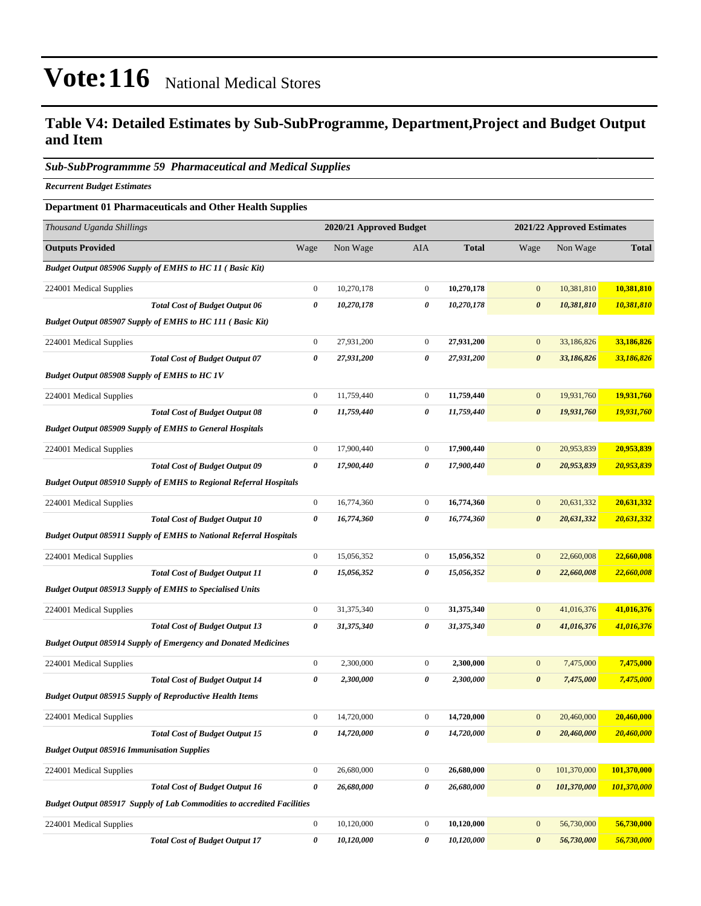### **Table V4: Detailed Estimates by Sub-SubProgramme, Department,Project and Budget Output and Item**

#### *Sub-SubProgrammme 59 Pharmaceutical and Medical Supplies*

*Recurrent Budget Estimates*

#### **Department 01 Pharmaceuticals and Other Health Supplies**

| Thousand Uganda Shillings                           |                                                                                | 2020/21 Approved Budget |            |                | 2021/22 Approved Estimates |                       |             |              |
|-----------------------------------------------------|--------------------------------------------------------------------------------|-------------------------|------------|----------------|----------------------------|-----------------------|-------------|--------------|
| <b>Outputs Provided</b>                             |                                                                                | Wage                    | Non Wage   | AIA            | <b>Total</b>               | Wage                  | Non Wage    | <b>Total</b> |
|                                                     | <b>Budget Output 085906 Supply of EMHS to HC 11 (Basic Kit)</b>                |                         |            |                |                            |                       |             |              |
| 224001 Medical Supplies                             |                                                                                | $\boldsymbol{0}$        | 10,270,178 | $\mathbf{0}$   | 10,270,178                 | $\mathbf{0}$          | 10,381,810  | 10,381,810   |
|                                                     | <b>Total Cost of Budget Output 06</b>                                          | $\boldsymbol{\theta}$   | 10,270,178 | 0              | 10,270,178                 | $\boldsymbol{\theta}$ | 10,381,810  | 10,381,810   |
|                                                     | <b>Budget Output 085907 Supply of EMHS to HC 111 (Basic Kit)</b>               |                         |            |                |                            |                       |             |              |
| 224001 Medical Supplies                             |                                                                                | $\boldsymbol{0}$        | 27,931,200 | $\mathbf{0}$   | 27,931,200                 | $\mathbf{0}$          | 33,186,826  | 33,186,826   |
|                                                     | <b>Total Cost of Budget Output 07</b>                                          | $\boldsymbol{\theta}$   | 27,931,200 | 0              | 27,931,200                 | $\boldsymbol{\theta}$ | 33,186,826  | 33,186,826   |
| <b>Budget Output 085908 Supply of EMHS to HC 1V</b> |                                                                                |                         |            |                |                            |                       |             |              |
| 224001 Medical Supplies                             |                                                                                | $\boldsymbol{0}$        | 11,759,440 | $\mathbf{0}$   | 11,759,440                 | $\mathbf{0}$          | 19,931,760  | 19,931,760   |
|                                                     | <b>Total Cost of Budget Output 08</b>                                          | 0                       | 11,759,440 | 0              | 11,759,440                 | $\boldsymbol{\theta}$ | 19,931,760  | 19,931,760   |
|                                                     | <b>Budget Output 085909 Supply of EMHS to General Hospitals</b>                |                         |            |                |                            |                       |             |              |
| 224001 Medical Supplies                             |                                                                                | $\boldsymbol{0}$        | 17,900,440 | $\mathbf{0}$   | 17,900,440                 | $\bf{0}$              | 20,953,839  | 20,953,839   |
|                                                     | <b>Total Cost of Budget Output 09</b>                                          | $\boldsymbol{\theta}$   | 17,900,440 | 0              | 17,900,440                 | $\boldsymbol{\theta}$ | 20,953,839  | 20,953,839   |
|                                                     | <b>Budget Output 085910 Supply of EMHS to Regional Referral Hospitals</b>      |                         |            |                |                            |                       |             |              |
| 224001 Medical Supplies                             |                                                                                | $\boldsymbol{0}$        | 16,774,360 | $\mathbf{0}$   | 16,774,360                 | $\mathbf{0}$          | 20,631,332  | 20,631,332   |
|                                                     | <b>Total Cost of Budget Output 10</b>                                          | $\boldsymbol{\theta}$   | 16,774,360 | 0              | 16,774,360                 | $\boldsymbol{\theta}$ | 20,631,332  | 20,631,332   |
|                                                     | <b>Budget Output 085911 Supply of EMHS to National Referral Hospitals</b>      |                         |            |                |                            |                       |             |              |
| 224001 Medical Supplies                             |                                                                                | $\boldsymbol{0}$        | 15,056,352 | $\mathbf{0}$   | 15,056,352                 | $\mathbf{0}$          | 22,660,008  | 22,660,008   |
|                                                     | <b>Total Cost of Budget Output 11</b>                                          | 0                       | 15,056,352 | 0              | 15,056,352                 | $\boldsymbol{\theta}$ | 22,660,008  | 22,660,008   |
|                                                     | <b>Budget Output 085913 Supply of EMHS to Specialised Units</b>                |                         |            |                |                            |                       |             |              |
| 224001 Medical Supplies                             |                                                                                | $\boldsymbol{0}$        | 31,375,340 | $\mathbf{0}$   | 31,375,340                 | $\mathbf{0}$          | 41,016,376  | 41,016,376   |
|                                                     | <b>Total Cost of Budget Output 13</b>                                          | 0                       | 31,375,340 | 0              | 31,375,340                 | $\boldsymbol{\theta}$ | 41,016,376  | 41,016,376   |
|                                                     | <b>Budget Output 085914 Supply of Emergency and Donated Medicines</b>          |                         |            |                |                            |                       |             |              |
| 224001 Medical Supplies                             |                                                                                | $\boldsymbol{0}$        | 2,300,000  | $\mathbf{0}$   | 2,300,000                  | $\mathbf{0}$          | 7,475,000   | 7,475,000    |
|                                                     | <b>Total Cost of Budget Output 14</b>                                          | 0                       | 2,300,000  | 0              | 2,300,000                  | $\boldsymbol{\theta}$ | 7,475,000   | 7,475,000    |
|                                                     | <b>Budget Output 085915 Supply of Reproductive Health Items</b>                |                         |            |                |                            |                       |             |              |
| 224001 Medical Supplies                             |                                                                                | $\boldsymbol{0}$        | 14,720,000 | $\mathbf{0}$   | 14,720,000                 | $\mathbf{0}$          | 20,460,000  | 20,460,000   |
|                                                     | <b>Total Cost of Budget Output 15</b>                                          | 0                       | 14,720,000 | $\pmb{\theta}$ | 14,720,000                 | $\boldsymbol{\theta}$ | 20,460,000  | 20,460,000   |
| <b>Budget Output 085916 Immunisation Supplies</b>   |                                                                                |                         |            |                |                            |                       |             |              |
| 224001 Medical Supplies                             |                                                                                | $\boldsymbol{0}$        | 26,680,000 | $\mathbf{0}$   | 26,680,000                 | $\mathbf{0}$          | 101,370,000 | 101,370,000  |
|                                                     | <b>Total Cost of Budget Output 16</b>                                          | $\boldsymbol{\theta}$   | 26,680,000 | 0              | 26,680,000                 | $\boldsymbol{\theta}$ | 101,370,000 | 101,370,000  |
|                                                     | <b>Budget Output 085917 Supply of Lab Commodities to accredited Facilities</b> |                         |            |                |                            |                       |             |              |
| 224001 Medical Supplies                             |                                                                                | $\mathbf{0}$            | 10,120,000 | $\mathbf{0}$   | 10,120,000                 | $\mathbf{0}$          | 56,730,000  | 56,730,000   |
|                                                     | <b>Total Cost of Budget Output 17</b>                                          | $\pmb{\theta}$          | 10,120,000 | 0              | 10,120,000                 | $\boldsymbol{\theta}$ | 56,730,000  | 56,730,000   |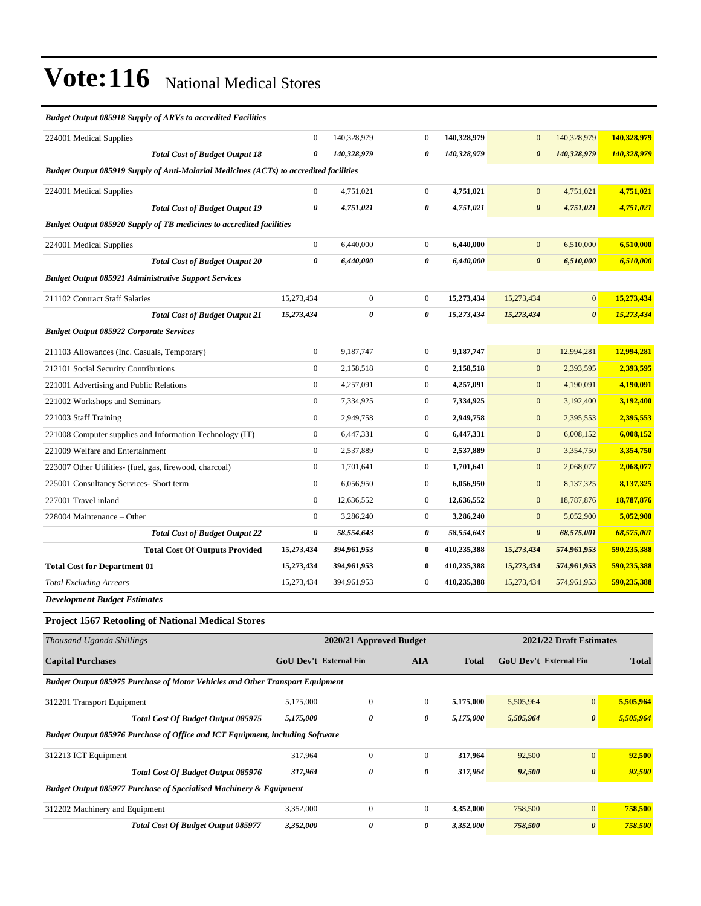#### *Budget Output 085918 Supply of ARVs to accredited Facilities*

| 224001 Medical Supplies                                                                       | $\mathbf{0}$          | 140,328,979    | $\Omega$       | 140,328,979 | $\mathbf{0}$          | 140,328,979           | 140,328,979 |
|-----------------------------------------------------------------------------------------------|-----------------------|----------------|----------------|-------------|-----------------------|-----------------------|-------------|
| <b>Total Cost of Budget Output 18</b>                                                         | $\theta$              | 140,328,979    | 0              | 140,328,979 | $\boldsymbol{\theta}$ | 140,328,979           | 140,328,979 |
| <b>Budget Output 085919 Supply of Anti-Malarial Medicines (ACTs) to accredited facilities</b> |                       |                |                |             |                       |                       |             |
| 224001 Medical Supplies                                                                       | $\boldsymbol{0}$      | 4,751,021      | $\overline{0}$ | 4,751,021   | $\mathbf{0}$          | 4,751,021             | 4,751,021   |
| <b>Total Cost of Budget Output 19</b>                                                         | $\boldsymbol{\theta}$ | 4,751,021      | 0              | 4,751,021   | $\boldsymbol{\theta}$ | 4,751,021             | 4,751,021   |
| Budget Output 085920 Supply of TB medicines to accredited facilities                          |                       |                |                |             |                       |                       |             |
| 224001 Medical Supplies                                                                       | $\mathbf{0}$          | 6,440,000      | $\overline{0}$ | 6,440,000   | $\mathbf{0}$          | 6,510,000             | 6,510,000   |
| <b>Total Cost of Budget Output 20</b>                                                         | $\boldsymbol{\theta}$ | 6,440,000      | 0              | 6,440,000   | $\boldsymbol{\theta}$ | 6,510,000             | 6,510,000   |
| <b>Budget Output 085921 Administrative Support Services</b>                                   |                       |                |                |             |                       |                       |             |
| 211102 Contract Staff Salaries                                                                | 15,273,434            | $\overline{0}$ | $\overline{0}$ | 15,273,434  | 15,273,434            | $\mathbf{0}$          | 15,273,434  |
| <b>Total Cost of Budget Output 21</b>                                                         | 15,273,434            | 0              | 0              | 15,273,434  | 15,273,434            | $\boldsymbol{\theta}$ | 15,273,434  |
| <b>Budget Output 085922 Corporate Services</b>                                                |                       |                |                |             |                       |                       |             |
| 211103 Allowances (Inc. Casuals, Temporary)                                                   | $\boldsymbol{0}$      | 9,187,747      | $\overline{0}$ | 9,187,747   | $\mathbf{0}$          | 12,994,281            | 12,994,281  |
| 212101 Social Security Contributions                                                          | $\boldsymbol{0}$      | 2,158,518      | $\overline{0}$ | 2,158,518   | $\mathbf{0}$          | 2,393,595             | 2,393,595   |
| 221001 Advertising and Public Relations                                                       | $\boldsymbol{0}$      | 4,257,091      | $\mathbf{0}$   | 4,257,091   | $\mathbf{0}$          | 4,190,091             | 4,190,091   |
| 221002 Workshops and Seminars                                                                 | $\mathbf{0}$          | 7,334,925      | $\overline{0}$ | 7,334,925   | $\mathbf{0}$          | 3,192,400             | 3,192,400   |
| 221003 Staff Training                                                                         | $\mathbf{0}$          | 2,949,758      | $\mathbf{0}$   | 2,949,758   | $\boldsymbol{0}$      | 2,395,553             | 2,395,553   |
| 221008 Computer supplies and Information Technology (IT)                                      | $\mathbf{0}$          | 6,447,331      | $\overline{0}$ | 6,447,331   | $\mathbf{0}$          | 6,008,152             | 6,008,152   |
| 221009 Welfare and Entertainment                                                              | $\mathbf{0}$          | 2,537,889      | $\overline{0}$ | 2,537,889   | $\mathbf{0}$          | 3,354,750             | 3,354,750   |
| 223007 Other Utilities- (fuel, gas, firewood, charcoal)                                       | $\mathbf{0}$          | 1,701,641      | $\overline{0}$ | 1,701,641   | $\mathbf{0}$          | 2,068,077             | 2,068,077   |
| 225001 Consultancy Services- Short term                                                       | $\mathbf{0}$          | 6,056,950      | $\overline{0}$ | 6,056,950   | $\mathbf{0}$          | 8,137,325             | 8,137,325   |
| 227001 Travel inland                                                                          | $\mathbf{0}$          | 12,636,552     | $\overline{0}$ | 12,636,552  | $\mathbf{0}$          | 18,787,876            | 18,787,876  |
| 228004 Maintenance – Other                                                                    | $\mathbf{0}$          | 3,286,240      | $\overline{0}$ | 3,286,240   | $\mathbf{0}$          | 5,052,900             | 5,052,900   |
| <b>Total Cost of Budget Output 22</b>                                                         | $\boldsymbol{\theta}$ | 58,554,643     | 0              | 58,554,643  | $\boldsymbol{\theta}$ | 68,575,001            | 68,575,001  |
| <b>Total Cost Of Outputs Provided</b>                                                         | 15,273,434            | 394,961,953    | $\bf{0}$       | 410,235,388 | 15,273,434            | 574,961,953           | 590,235,388 |
| <b>Total Cost for Department 01</b>                                                           | 15,273,434            | 394,961,953    | $\bf{0}$       | 410,235,388 | 15,273,434            | 574,961,953           | 590,235,388 |
| <b>Total Excluding Arrears</b>                                                                | 15,273,434            | 394,961,953    | $\mathbf{0}$   | 410,235,388 | 15,273,434            | 574,961,953           | 590,235,388 |
| Dovelopment Rudget Estimates                                                                  |                       |                |                |             |                       |                       |             |

*Development Budget Estimates*

#### **Project 1567 Retooling of National Medical Stores**

| Thousand Uganda Shillings                                                            | 2020/21 Approved Budget                     |              |                |              | 2021/22 Draft Estimates       |                       |           |  |  |
|--------------------------------------------------------------------------------------|---------------------------------------------|--------------|----------------|--------------|-------------------------------|-----------------------|-----------|--|--|
| <b>Capital Purchases</b>                                                             | <b>GoU Dev't External Fin</b><br><b>AIA</b> |              |                | <b>Total</b> | <b>GoU Dev't External Fin</b> | <b>Total</b>          |           |  |  |
| <b>Budget Output 085975 Purchase of Motor Vehicles and Other Transport Equipment</b> |                                             |              |                |              |                               |                       |           |  |  |
| 312201 Transport Equipment                                                           | 5,175,000                                   | $\mathbf{0}$ | $\overline{0}$ | 5,175,000    | 5,505,964                     | $\overline{0}$        | 5,505,964 |  |  |
| Total Cost Of Budget Output 085975                                                   | 5,175,000                                   | 0            | 0              | 5,175,000    | 5,505,964                     | $\boldsymbol{\theta}$ | 5,505,964 |  |  |
| <b>Budget Output 085976 Purchase of Office and ICT Equipment, including Software</b> |                                             |              |                |              |                               |                       |           |  |  |
| 312213 ICT Equipment                                                                 | 317,964                                     | $\mathbf{0}$ | $\overline{0}$ | 317,964      | 92,500                        | $\mathbf{0}$          | 92,500    |  |  |
| Total Cost Of Budget Output 085976                                                   | 317,964                                     | 0            | 0              | 317,964      | 92,500                        | $\boldsymbol{\theta}$ | 92,500    |  |  |
| <b>Budget Output 085977 Purchase of Specialised Machinery &amp; Equipment</b>        |                                             |              |                |              |                               |                       |           |  |  |
| 312202 Machinery and Equipment                                                       | 3,352,000                                   | $\mathbf{0}$ | $\overline{0}$ | 3,352,000    | 758,500                       | $\mathbf{0}$          | 758,500   |  |  |
| <b>Total Cost Of Budget Output 085977</b>                                            | 3,352,000                                   | 0            | 0              | 3,352,000    | 758,500                       | $\boldsymbol{\theta}$ | 758,500   |  |  |